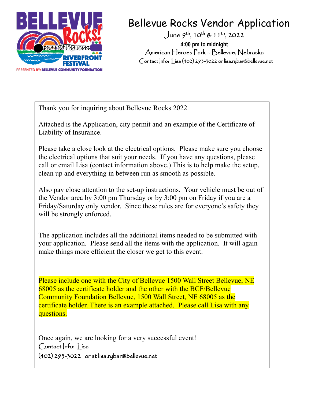

# Bellevue Rocks Vendor Application

June  $9^{th}$ , 10<sup>th</sup> & 11<sup>th</sup>, 2022 **4:00 pm to midnight**  American Heroes Park – Bellevue, Nebraska Contact Info: Lisa (402) 293-3022 or lisa.rybar@bellevue.net

Thank you for inquiring about Bellevue Rocks 2022

Attached is the Application, city permit and an example of the Certificate of Liability of Insurance.

Please take a close look at the electrical options. Please make sure you choose the electrical options that suit your needs. If you have any questions, please call or email Lisa (contact information above.) This is to help make the setup, clean up and everything in between run as smooth as possible.

Also pay close attention to the set-up instructions. Your vehicle must be out of the Vendor area by 3:00 pm Thursday or by 3:00 pm on Friday if you are a Friday/Saturday only vendor. Since these rules are for everyone's safety they will be strongly enforced.

The application includes all the additional items needed to be submitted with your application. Please send all the items with the application. It will again make things more efficient the closer we get to this event.

Please include one with the City of Bellevue 1500 Wall Street Bellevue, NE 68005 as the certificate holder and the other with the BCF/Bellevue Community Foundation Bellevue, 1500 Wall Street, NE 68005 as the certificate holder. There is an example attached. Please call Lisa with any questions.

Once again, we are looking for a very successful event! Contact Info: | isa (402) 293-3022 or at lisa.rybar@bellevue.net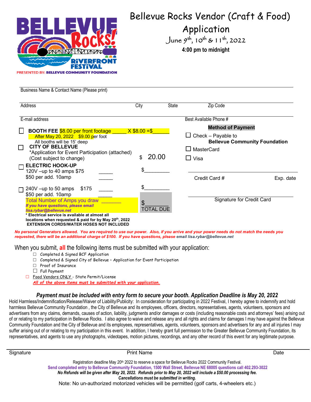

Business Name & Contact Name (Please print)

## Bellevue Rocks Vendor (Craft & Food)

## Application

June  $9^{th}$ ,  $10^{th}$  &  $11^{th}$ , 2022

**4:00 pm to midnight** 

| Address                                                                                                                                                                                                                                                                                                                                          | City | <b>State</b>     | Zip Code                                                                                                                                        |
|--------------------------------------------------------------------------------------------------------------------------------------------------------------------------------------------------------------------------------------------------------------------------------------------------------------------------------------------------|------|------------------|-------------------------------------------------------------------------------------------------------------------------------------------------|
| E-mail address<br>$\mathsf{L}$<br><b>BOOTH FEE \$8.00 per front footage X \$8.00 =\$</b><br><b>After May 20, 2022 \$9.00 per foot</b><br>All booths will be 15' deep<br><b>CITY OF BELLEVUE</b><br>*Application for Event Participation (attached)<br>(Cost subject to change)                                                                   |      | 20.00            | Best Available Phone #<br><b>Method of Payment</b><br>Check - Payable to<br><b>Bellevue Community Foundation</b><br>$\Box$ MasterCard<br>∐ Visa |
| $\Box$ ELECTRIC HOOK-UP<br>120V -up to 40 amps \$75<br>\$50 per add. 10amp                                                                                                                                                                                                                                                                       | \$   |                  | Credit Card #<br>Exp. date                                                                                                                      |
| $\Box$ 240V -up to 50 amps<br>\$175<br>\$50 per add. 10amp<br><b>Total Number of Amps you draw</b><br>If you have questions, please email<br>lisa.rybar@bellevue.net<br>* Electrical service is available at almost all<br>locations when requested & paid for by May 20 <sup>th</sup> , 2022<br><b>EXTENSION CORDS/WATER HOSES NOT INCLUDED</b> |      | <b>TOTAL DUE</b> | <b>Signature for Credit Card</b>                                                                                                                |

*No personal Generators allowed. You are required to use our power. Also, if you arrive and your power needs do not match the needs you requested, there will be an additional charge of \$100. If you have questions, please email lisa.rybar@bellevue.net* 

When you submit, **all** the following items must be submitted with your application:

- Completed & Signed BCF Application
- □ Completed & Signed City of Bellevue Application for Event Participation
- □ Proof of Insurance
- $\Box$  Full Payment
- □ Food Vendors ONLY State Permit/License

*All of the above items must be submitted with your application.*

### *Payment must be included with entry form to secure your booth. Application Deadline is May 20, 2022*

Hold Harmless/Indemnification/Release/Waiver of Liability/Publicity: In consideration for participating in 2022 Festival, I hereby agree to indemnify and hold harmless Bellevue Community Foundation , the City of Bellevue and its employees, officers, directors, representatives, agents, volunteers, sponsors and advertisers from any claims, demands, causes of action, liability, judgments and/or damages or costs (including reasonable costs and attorneys' fees) arising out of or relating to my participation in Bellevue Rocks. I also agree to waive and release any and all rights and claims for damages I may have against the Bellevue Community Foundation and the City of Bellevue and its employees, representatives, agents, volunteers, sponsors and advertisers for any and all injuries I may suffer arising out of or relating to my participation in this event. In addition, I hereby grant full permission to the Greater Bellevue Community Foundation, its representatives, and agents to use any photographs, videotapes, motion pictures, recordings, and any other record of this event for any legitimate purpose.

| Signature                                   | <b>Print Name</b>                                                                                                      | Date |  |  |
|---------------------------------------------|------------------------------------------------------------------------------------------------------------------------|------|--|--|
|                                             | Registration deadline May 20 <sup>th</sup> 2022 to reserve a space for Bellevue Rocks 2022 Community Festival.         |      |  |  |
|                                             | Send completed entry to Bellevue Community Foundation, 1500 Wall Street, Bellevue NE 68005 questions call 402.293-3022 |      |  |  |
|                                             | No Refunds will be given after May 20, 2022. Refunds prior to May 20, 2022 will include a \$50.00 processing fee.      |      |  |  |
| Cancellations must be submitted in writing. |                                                                                                                        |      |  |  |

Note: No un-authorized motorized vehicles will be permitted (golf carts, 4-wheelers etc.)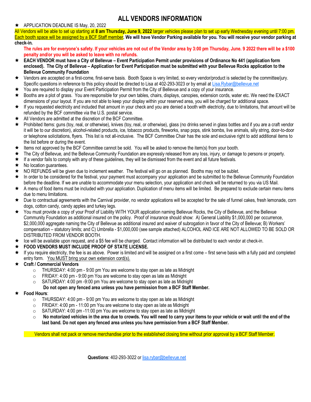## **ALL VENDORS INFORMATION**

#### ★ APPLICATION DEADLINE IS May, 20, 2022

All Vendors will be able to set up starting at **8 am Thursday, June 9, 2022** larger vehicles please plan to set up early Wednesday evening until 7:00 pm. Each booth space will be assigned by a BCF Staff member**. We will have Vendor Parking available for you. You will receive your vendor parking at check-in.**

**The rules are for everyone's safety. If your vehicles are not out of the Vendor area by 3:00 pm Thursday, June. 9 2022 there will be a \$100 penalty and/or you will be asked to leave with no refunds.** 

- **EACH VENDOR must have a City of Bellevue – Event Participation Permit under provisions of Ordinance No 441 (application form enclosed). The City of Bellevue – Application for Event Participation must be submitted with your Bellevue Rocks application to the Bellevue Community Foundation**
- Vendors are accepted on a first-come, first-serve basis. Booth Space is very limited, so every vendor/product is selected by the committee/jury. Specific questions in reference to this policy should be directed to Lisa at 402-293-3023 or by email at [Lisa.Rybar@bellevue.net](mailto:Lisa.Rybar@bellevue.net)
- You are required to display your Event Participation Permit from the City of Bellevue and a copy of your insurance.
- Booths are a plot of grass. You are responsible for your own tables, chairs, displays, canopies, extension cords, water etc. We need the EXACT dimensions of your layout. If you are not able to keep your display within your reserved area, you will be charged for additional space.
- $\star$  If you requested electricity and included that amount in your check and you are denied a booth with electricity, due to limitations, that amount will be refunded by the BCF committee via the U.S. postal service.
- $\bigstar$  All Vendors are admitted at the discretion of the BCF Committee.
- ★ Prohibited Items: guns (toy, real, or otherwise), knives (toy, real, or otherwise), glass (no drinks served in glass bottles and if you are a craft vendor it will be to our discretion), alcohol-related products, ice, tobacco products, fireworks, snap pops, stink bombs, live animals, silly string, door-to-door or telephone solicitations, flyers. This list is not all-inclusive. The BCF Committee Chair has the sole and exclusive right to add additional items to the list before or during the event.
- ★ Items not approved by the BCF Committee cannot be sold. You will be asked to remove the item(s) from your booth.
- ★ The City of Bellevue, and the Bellevue Community Foundation are expressly released from any loss, injury, or damage to persons or property.
- $\star$  If a vendor fails to comply with any of these quidelines, they will be dismissed from the event and all future festivals.
- $\star$  No location guarantees.
- ★ NO REFUNDS will be given due to inclement weather. The festival will go on as planned. Booths may not be sublet.
- ★ In order to be considered for the festival, your payment must accompany your application and be submitted to the Bellevue Community Foundation before the deadline. If we are unable to accommodate your menu selection, your application and check will be returned to you via US Mail.
- A menu of food items must be included with your application. Duplication of menu items will be limited. Be prepared to exclude certain menu items due to menu limitations.
- ★ Due to contractual agreements with the Carnival provider, no vendor applications will be accepted for the sale of funnel cakes, fresh lemonade, corn dogs, cotton candy, candy apples and turkey legs.
- You must provide a copy of your Proof of Liability WITH YOUR application naming Bellevue Rocks, the City of Bellevue, and the Bellevue Community Foundation as additional insured on the policy. Proof of insurance should show: A) General Liability \$1,000,000 per occurrence, \$2,000,000 aggregate naming the City of Bellevue as additional insured and waiver of subrogation in favor of the City of Bellevue; B) Workers' compensation – statutory limits; and C) Umbrella - \$1,000,000 (see sample attached) ALCOHOL AND ICE ARE NOT ALLOWED TO BE SOLD OR DISTRIBUTED FROM VENDOR BOOTH.
- Ice will be available upon request, and a \$5 fee will be charged. Contact information will be distributed to each vendor at check-in.
- **FOOD VENDORS MUST INCLUDE PROOF OF STATE LICENSE.**
- ★ If you require electricity, the fee is as above. Power is limited and will be assigned on a first come first serve basis with a fully paid and completed entry form. You MUST bring your own extension cord(s).

### **Craft / Commercial Vendors**

- $\circ$  THURSDAY: 4:00 pm 9:00 pm You are welcome to stay open as late as Midnight
- $\circ$  FRIDAY: 4:00 pm 9:00 pm You are welcome to stay open as late as Midnight
- $\circ$  SATURDAY: 4:00 pm -9:00 pm You are welcome to stay open as late as Midnight
	- **Do not open any fenced area unless you have permission from a BCF Staff Member.**
- **Food Hours**:
	- $\circ$  THURSDAY: 4:00 pm 9:00 pm You are welcome to stay open as late as Midnight
	- o FRIDAY: 4:00 pm 11:00 pm You are welcome to stay open as late as Midnight
	- $\circ$  SATURDAY: 4:00 pm -11:00 pm You are welcome to stay open as late as Midnight
	- o **No motorized vehicles in the area due to crowds. You will need to carry your items to your vehicle or wait until the end of the last band. Do not open any fenced area unless you have permission from a BCF Staff Member.**

Vendors shall not pack or remove merchandise prior to the established closing time without prior approval by a BCF Staff Member.

**Questions**: 402-293-3022 o[r lisa.rybar@bellevue.net](mailto:lisa.rybar@bellevue.net)